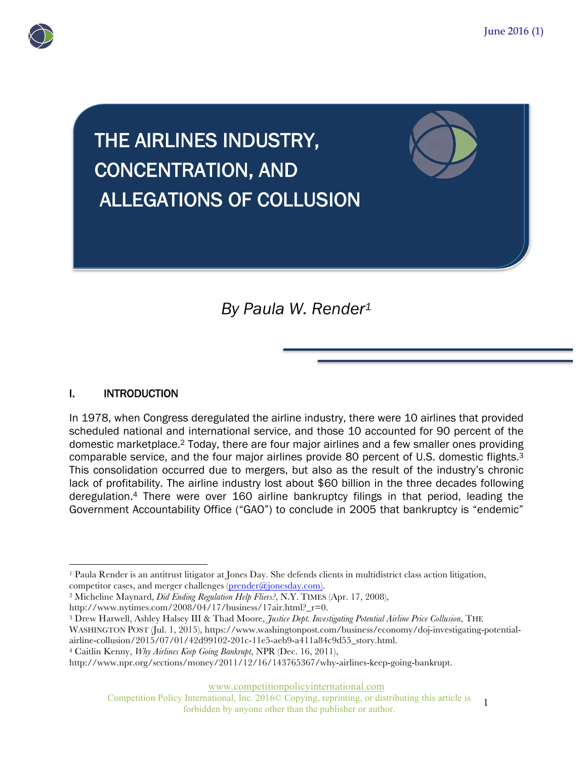

# THE AIRLINES INDUSTRY, CONCENTRATION, AND ALLEGATIONS OF COLLUSION

*By Paula W. Render1*

## I. INTRODUCTION

In 1978, when Congress deregulated the airline industry, there were 10 airlines that provided scheduled national and international service, and those 10 accounted for 90 percent of the domestic marketplace.2 Today, there are four major airlines and a few smaller ones providing comparable service, and the four major airlines provide 80 percent of U.S. domestic flights.3 This consolidation occurred due to mergers, but also as the result of the industry's chronic lack of profitability. The airline industry lost about \$60 billion in the three decades following deregulation.4 There were over 160 airline bankruptcy filings in that period, leading the Government Accountability Office ("GAO") to conclude in 2005 that bankruptcy is "endemic"

www.competitionpolicyinternational.com

Competition Policy International, Inc. 2016© Copying, reprinting, or distributing this article is forbidden by anyone other than the publisher or author.

<sup>&</sup>lt;u>.</u> <sup>1</sup> Paula Render is an antitrust litigator at Jones Day. She defends clients in multidistrict class action litigation, competitor cases, and merger challenges (prender@jonesday.com). 2 Micheline Maynard, *Did Ending Regulation Help Fliers?*, N.Y. TIMES (Apr. 17, 2008),

http://www.nytimes.com/2008/04/17/business/17air.html?\_r=0.

<sup>3</sup> Drew Harwell, Ashley Halsey III & Thad Moore, *Justice Dept. Investigating Potential Airline Price Collusion*, THE WASHINGTON POST (Jul. 1, 2015), https://www.washingtonpost.com/business/economy/doj-investigating-potential-

airline-collusion/2015/07/01/42d99102-201c-11e5-aeb9-a411a84c9d55\_story.html.

<sup>4</sup> Caitlin Kenny, *Why Airlines Keep Going Bankrupt*, NPR (Dec. 16, 2011),

http://www.npr.org/sections/money/2011/12/16/143765367/why-airlines-keep-going-bankrupt.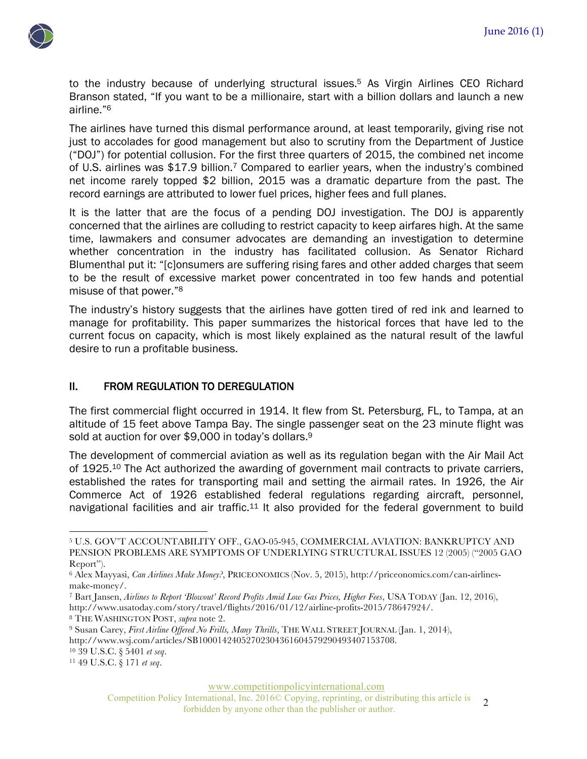

to the industry because of underlying structural issues.<sup>5</sup> As Virgin Airlines CEO Richard Branson stated, "If you want to be a millionaire, start with a billion dollars and launch a new airline."6

The airlines have turned this dismal performance around, at least temporarily, giving rise not just to accolades for good management but also to scrutiny from the Department of Justice ("DOJ") for potential collusion. For the first three quarters of 2015, the combined net income of U.S. airlines was \$17.9 billion.7 Compared to earlier years, when the industry's combined net income rarely topped \$2 billion, 2015 was a dramatic departure from the past. The record earnings are attributed to lower fuel prices, higher fees and full planes.

It is the latter that are the focus of a pending DOJ investigation. The DOJ is apparently concerned that the airlines are colluding to restrict capacity to keep airfares high. At the same time, lawmakers and consumer advocates are demanding an investigation to determine whether concentration in the industry has facilitated collusion. As Senator Richard Blumenthal put it: "[c]onsumers are suffering rising fares and other added charges that seem to be the result of excessive market power concentrated in too few hands and potential misuse of that power."8

The industry's history suggests that the airlines have gotten tired of red ink and learned to manage for profitability. This paper summarizes the historical forces that have led to the current focus on capacity, which is most likely explained as the natural result of the lawful desire to run a profitable business.

#### II. FROM REGULATION TO DEREGULATION

The first commercial flight occurred in 1914. It flew from St. Petersburg, FL, to Tampa, at an altitude of 15 feet above Tampa Bay. The single passenger seat on the 23 minute flight was sold at auction for over \$9,000 in today's dollars.<sup>9</sup>

The development of commercial aviation as well as its regulation began with the Air Mail Act of 1925.<sup>10</sup> The Act authorized the awarding of government mail contracts to private carriers, established the rates for transporting mail and setting the airmail rates. In 1926, the Air Commerce Act of 1926 established federal regulations regarding aircraft, personnel, navigational facilities and air traffic.<sup>11</sup> It also provided for the federal government to build

<sup>7</sup> Bart Jansen, *Airlines to Report 'Blowout' Record Profits Amid Low Gas Prices, Higher Fees*, USA TODAY (Jan. 12, 2016), http://www.usatoday.com/story/travel/flights/2016/01/12/airline-profits-2015/78647924/.

<sup>8</sup> THE WASHINGTON POST, *supra* note 2.

<sup>10</sup> 39 U.S.C. § 5401 *et seq*.

<sup>11</sup> 49 U.S.C. § 171 *et seq*.

l

www.competitionpolicyinternational.com

Competition Policy International, Inc. 2016© Copying, reprinting, or distributing this article is Forbidden by anyone other than the publisher or author.

<sup>5</sup> U.S. GOV'T ACCOUNTABILITY OFF., GAO-05-945, COMMERCIAL AVIATION: BANKRUPTCY AND PENSION PROBLEMS ARE SYMPTOMS OF UNDERLYING STRUCTURAL ISSUES 12 (2005) ("2005 GAO Report").

<sup>6</sup> Alex Mayyasi, *Can Airlines Make Money?*, PRICEONOMICS (Nov. 5, 2015), http://priceonomics.com/can-airlinesmake-money/.

<sup>9</sup> Susan Carey, *First Airline Offered No Frills, Many Thrills*, THE WALL STREET JOURNAL (Jan. 1, 2014), http://www.wsj.com/articles/SB10001424052702304361604579290493407153708.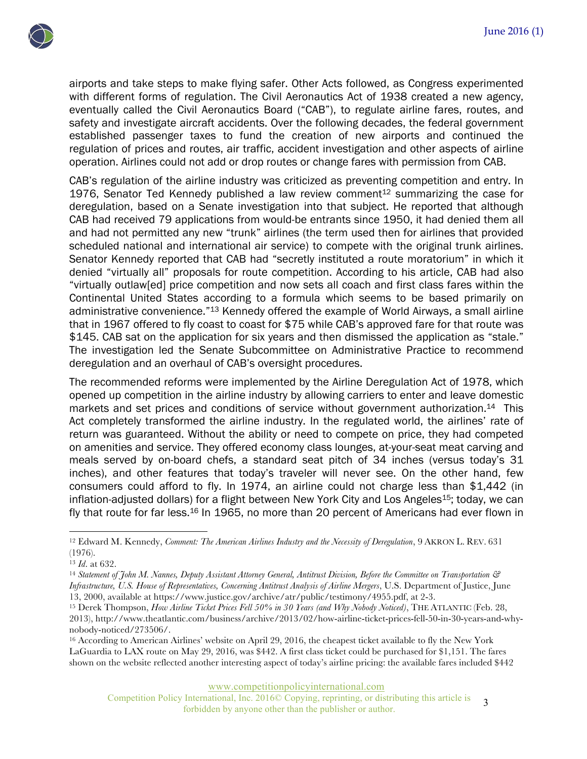

airports and take steps to make flying safer. Other Acts followed, as Congress experimented with different forms of regulation. The Civil Aeronautics Act of 1938 created a new agency, eventually called the Civil Aeronautics Board ("CAB"), to regulate airline fares, routes, and safety and investigate aircraft accidents. Over the following decades, the federal government established passenger taxes to fund the creation of new airports and continued the regulation of prices and routes, air traffic, accident investigation and other aspects of airline operation. Airlines could not add or drop routes or change fares with permission from CAB.

CAB's regulation of the airline industry was criticized as preventing competition and entry. In 1976, Senator Ted Kennedy published a law review comment<sup>12</sup> summarizing the case for deregulation, based on a Senate investigation into that subject. He reported that although CAB had received 79 applications from would-be entrants since 1950, it had denied them all and had not permitted any new "trunk" airlines (the term used then for airlines that provided scheduled national and international air service) to compete with the original trunk airlines. Senator Kennedy reported that CAB had "secretly instituted a route moratorium" in which it denied "virtually all" proposals for route competition. According to his article, CAB had also "virtually outlaw[ed] price competition and now sets all coach and first class fares within the Continental United States according to a formula which seems to be based primarily on administrative convenience."13 Kennedy offered the example of World Airways, a small airline that in 1967 offered to fly coast to coast for \$75 while CAB's approved fare for that route was \$145. CAB sat on the application for six years and then dismissed the application as "stale." The investigation led the Senate Subcommittee on Administrative Practice to recommend deregulation and an overhaul of CAB's oversight procedures.

The recommended reforms were implemented by the Airline Deregulation Act of 1978, which opened up competition in the airline industry by allowing carriers to enter and leave domestic markets and set prices and conditions of service without government authorization.14 This Act completely transformed the airline industry. In the regulated world, the airlines' rate of return was guaranteed. Without the ability or need to compete on price, they had competed on amenities and service. They offered economy class lounges, at-your-seat meat carving and meals served by on-board chefs, a standard seat pitch of 34 inches (versus today's 31 inches), and other features that today's traveler will never see. On the other hand, few consumers could afford to fly. In 1974, an airline could not charge less than \$1,442 (in inflation-adjusted dollars) for a flight between New York City and Los Angeles<sup>15</sup>; today, we can fly that route for far less.16 In 1965, no more than 20 percent of Americans had ever flown in

l

www.competitionpolicyinternational.com

Competition Policy International, Inc. 2016© Copying, reprinting, or distributing this article is International, Inc. 2016 $\odot$  Copying, reprinting, or distributing this article is 3 forbidden by anyone other than the publisher or author.

<sup>12</sup> Edward M. Kennedy, *Comment: The American Airlines Industry and the Necessity of Deregulation*, 9 AKRON L. REV. 631 (1976).

<sup>13</sup> *Id*. at 632.

<sup>14</sup> *Statement of John M. Nannes, Deputy Assistant Attorney General, Antitrust Division, Before the Committee on Transportation & Infrastructure, U.S. House of Representatives, Concerning Antitrust Analysis of Airline Mergers*, U.S. Department of Justice, June 13, 2000, available at https://www.justice.gov/archive/atr/public/testimony/4955.pdf, at 2-3.

<sup>15</sup> Derek Thompson, *How Airline Ticket Prices Fell 50% in 30 Years (and Why Nobody Noticed)*, THE ATLANTIC (Feb. 28, 2013), http://www.theatlantic.com/business/archive/2013/02/how-airline-ticket-prices-fell-50-in-30-years-and-why-

nobody-noticed/273506/.<br><sup>16</sup> According to American Airlines' website on April 29, 2016, the cheapest ticket available to fly the New York LaGuardia to LAX route on May 29, 2016, was \$442. A first class ticket could be purchased for \$1,151. The fares shown on the website reflected another interesting aspect of today's airline pricing: the available fares included \$442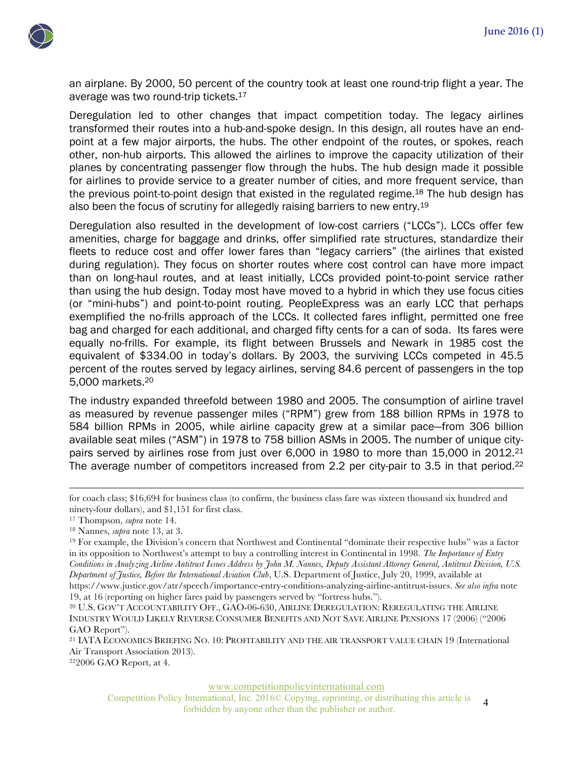

an airplane. By 2000, 50 percent of the country took at least one round-trip flight a year. The average was two round-trip tickets.17

Deregulation led to other changes that impact competition today. The legacy airlines transformed their routes into a hub-and-spoke design. In this design, all routes have an endpoint at a few major airports, the hubs. The other endpoint of the routes, or spokes, reach other, non-hub airports. This allowed the airlines to improve the capacity utilization of their planes by concentrating passenger flow through the hubs. The hub design made it possible for airlines to provide service to a greater number of cities, and more frequent service, than the previous point-to-point design that existed in the regulated regime.<sup>18</sup> The hub design has also been the focus of scrutiny for allegedly raising barriers to new entry.19

Deregulation also resulted in the development of low-cost carriers ("LCCs"). LCCs offer few amenities, charge for baggage and drinks, offer simplified rate structures, standardize their fleets to reduce cost and offer lower fares than "legacy carriers" (the airlines that existed during regulation). They focus on shorter routes where cost control can have more impact than on long-haul routes, and at least initially, LCCs provided point-to-point service rather than using the hub design. Today most have moved to a hybrid in which they use focus cities (or "mini-hubs") and point-to-point routing. PeopleExpress was an early LCC that perhaps exemplified the no-frills approach of the LCCs. It collected fares inflight, permitted one free bag and charged for each additional, and charged fifty cents for a can of soda. Its fares were equally no-frills. For example, its flight between Brussels and Newark in 1985 cost the equivalent of \$334.00 in today's dollars. By 2003, the surviving LCCs competed in 45.5 percent of the routes served by legacy airlines, serving 84.6 percent of passengers in the top 5,000 markets.20

The industry expanded threefold between 1980 and 2005. The consumption of airline travel as measured by revenue passenger miles ("RPM") grew from 188 billion RPMs in 1978 to 584 billion RPMs in 2005, while airline capacity grew at a similar pace—from 306 billion available seat miles ("ASM") in 1978 to 758 billion ASMs in 2005. The number of unique citypairs served by airlines rose from just over 6,000 in 1980 to more than 15,000 in 2012.<sup>21</sup> The average number of competitors increased from 2.2 per city-pair to 3.5 in that period.<sup>22</sup>

**.** 

222006 GAO Report, at 4.

www.competitionpolicyinternational.com

Competition Policy International, Inc. 2016© Copying, reprinting, or distributing this article is forbidden by anyone other than the publisher or author.

for coach class; \$16,694 for business class (to confirm, the business class fare was sixteen thousand six hundred and ninety-four dollars), and \$1,151 for first class. 17 Thompson, *supra* note 14.

<sup>&</sup>lt;sup>18</sup> Nannes, *supra* note 13, at 3.<br><sup>19</sup> For example, the Division's concern that Northwest and Continental "dominate their respective hubs" was a factor in its opposition to Northwest's attempt to buy a controlling interest in Continental in 1998. *The Importance of Entry Conditions in Analyzing Airline Antitrust Issues Address by John M. Nannes, Deputy Assistant Attorney General, Antitrust Division, U.S. Department of Justice, Before the International Aviation Club*, U.S. Department of Justice, July 20, 1999, available at https://www.justice.gov/atr/speech/importance-entry-conditions-analyzing-airline-antitrust-issues. *See also infra* note 19, at 16 (reporting on higher fares paid by passengers served by "fortress hubs.").

<sup>20</sup> U.S. GOV'T ACCOUNTABILITY OFF., GAO-06-630, AIRLINE DEREGULATION: REREGULATING THE AIRLINE INDUSTRY WOULD LIKELY REVERSE CONSUMER BENEFITS AND NOT SAVE AIRLINE PENSIONS 17 (2006) ("2006 GAO Report").

<sup>21</sup> IATA ECONOMICS BRIEFING NO. 10: PROFITABILITY AND THE AIR TRANSPORT VALUE CHAIN 19 (International Air Transport Association 2013).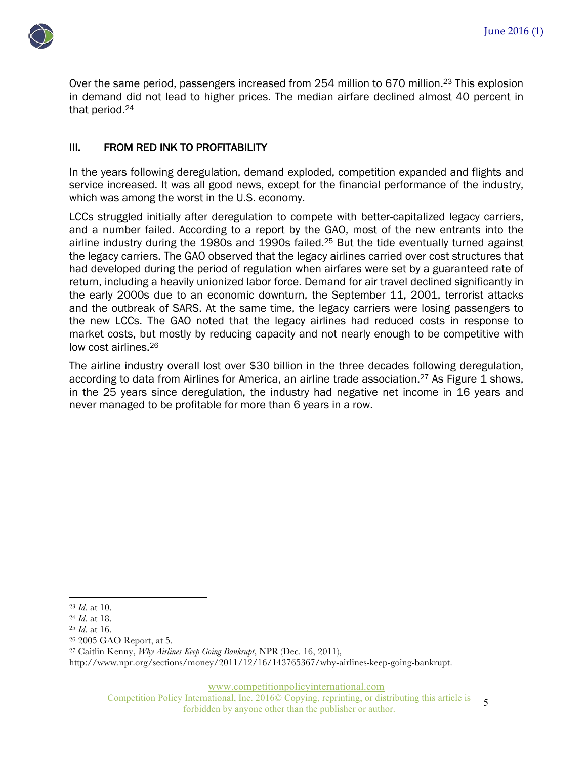

Over the same period, passengers increased from 254 million to 670 million.<sup>23</sup> This explosion in demand did not lead to higher prices. The median airfare declined almost 40 percent in that period.24

### III. FROM RED INK TO PROFITABILITY

In the years following deregulation, demand exploded, competition expanded and flights and service increased. It was all good news, except for the financial performance of the industry, which was among the worst in the U.S. economy.

LCCs struggled initially after deregulation to compete with better-capitalized legacy carriers, and a number failed. According to a report by the GAO, most of the new entrants into the airline industry during the 1980s and 1990s failed.25 But the tide eventually turned against the legacy carriers. The GAO observed that the legacy airlines carried over cost structures that had developed during the period of regulation when airfares were set by a guaranteed rate of return, including a heavily unionized labor force. Demand for air travel declined significantly in the early 2000s due to an economic downturn, the September 11, 2001, terrorist attacks and the outbreak of SARS. At the same time, the legacy carriers were losing passengers to the new LCCs. The GAO noted that the legacy airlines had reduced costs in response to market costs, but mostly by reducing capacity and not nearly enough to be competitive with low cost airlines.26

The airline industry overall lost over \$30 billion in the three decades following deregulation, according to data from Airlines for America, an airline trade association.<sup>27</sup> As Figure 1 shows, in the 25 years since deregulation, the industry had negative net income in 16 years and never managed to be profitable for more than 6 years in a row.

<sup>27</sup> Caitlin Kenny, *Why Airlines Keep Going Bankrupt*, NPR (Dec. 16, 2011),

http://www.npr.org/sections/money/2011/12/16/143765367/why-airlines-keep-going-bankrupt.

www.competitionpolicyinternational.com

Competition Policy International, Inc. 2016© Copying, reprinting, or distributing this article is International, Inc. 2016 $\odot$  Copying, reprinting, or distributing this article is 5 forbidden by anyone other than the publisher or author.

<sup>&</sup>lt;u>.</u> <sup>23</sup> *Id*. at 10.

<sup>24</sup> *Id*. at 18.

<sup>25</sup> *Id*. at 16.

<sup>26</sup> 2005 GAO Report, at 5.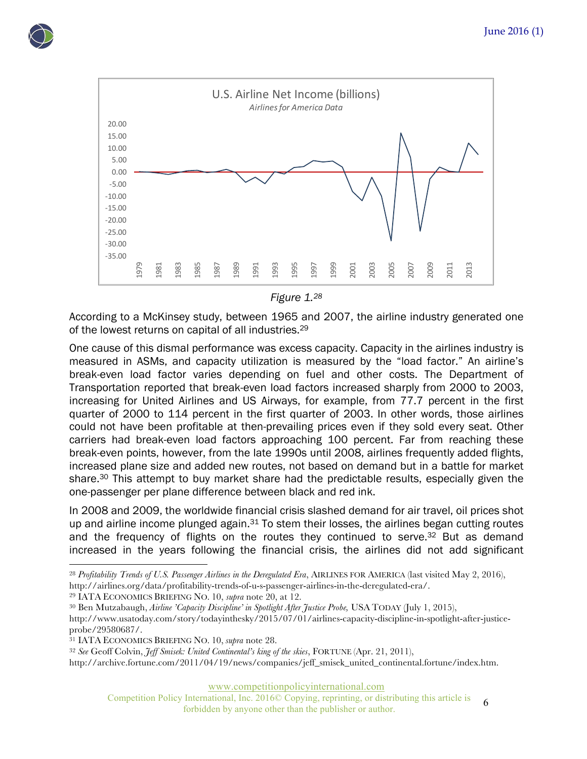



*Figure 1. 28*

According to a McKinsey study, between 1965 and 2007, the airline industry generated one of the lowest returns on capital of all industries.29

One cause of this dismal performance was excess capacity. Capacity in the airlines industry is measured in ASMs, and capacity utilization is measured by the "load factor." An airline's break-even load factor varies depending on fuel and other costs. The Department of Transportation reported that break-even load factors increased sharply from 2000 to 2003, increasing for United Airlines and US Airways, for example, from 77.7 percent in the first quarter of 2000 to 114 percent in the first quarter of 2003. In other words, those airlines could not have been profitable at then-prevailing prices even if they sold every seat. Other carriers had break-even load factors approaching 100 percent. Far from reaching these break-even points, however, from the late 1990s until 2008, airlines frequently added flights, increased plane size and added new routes, not based on demand but in a battle for market share.<sup>30</sup> This attempt to buy market share had the predictable results, especially given the one-passenger per plane difference between black and red ink.

In 2008 and 2009, the worldwide financial crisis slashed demand for air travel, oil prices shot up and airline income plunged again. $31$  To stem their losses, the airlines began cutting routes and the frequency of flights on the routes they continued to serve.<sup>32</sup> But as demand increased in the years following the financial crisis, the airlines did not add significant

<sup>29</sup> IATA ECONOMICS BRIEFING NO. 10, *supra* note 20, at 12.

<u>.</u>

http://archive.fortune.com/2011/04/19/news/companies/jeff\_smisek\_united\_continental.fortune/index.htm.

www.competitionpolicyinternational.com

Competition Policy International, Inc. 2016© Copying, reprinting, or distributing this article is forbidden by anyone other than the publisher or author.

<sup>28</sup> *Profitability Trends of U.S. Passenger Airlines in the Deregulated Era*, AIRLINES FOR AMERICA (last visited May 2, 2016), http://airlines.org/data/profitability-trends-of-u-s-passenger-airlines-in-the-deregulated-era/.

<sup>30</sup> Ben Mutzabaugh, *Airline 'Capacity Discipline' in Spotlight After Justice Probe,* USA TODAY (July 1, 2015), http://www.usatoday.com/story/todayinthesky/2015/07/01/airlines-capacity-discipline-in-spotlight-after-justiceprobe/29580687/.

<sup>31</sup> IATA ECONOMICS BRIEFING NO. 10, *supra* note 28.

<sup>32</sup> *See* Geoff Colvin, *Jeff Smisek: United Continental's king of the skies*, FORTUNE (Apr. 21, 2011),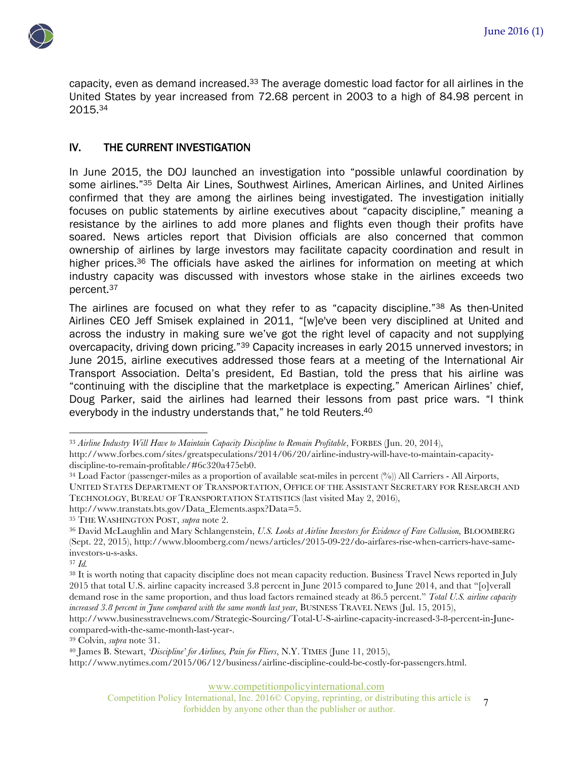

capacity, even as demand increased.<sup>33</sup> The average domestic load factor for all airlines in the United States by year increased from 72.68 percent in 2003 to a high of 84.98 percent in 2015.34

## IV. THE CURRENT INVESTIGATION

In June 2015, the DOJ launched an investigation into "possible unlawful coordination by some airlines."<sup>35</sup> Delta Air Lines, Southwest Airlines, American Airlines, and United Airlines confirmed that they are among the airlines being investigated. The investigation initially focuses on public statements by airline executives about "capacity discipline," meaning a resistance by the airlines to add more planes and flights even though their profits have soared. News articles report that Division officials are also concerned that common ownership of airlines by large investors may facilitate capacity coordination and result in higher prices.<sup>36</sup> The officials have asked the airlines for information on meeting at which industry capacity was discussed with investors whose stake in the airlines exceeds two percent.37

The airlines are focused on what they refer to as "capacity discipline."38 As then-United Airlines CEO Jeff Smisek explained in 2011, "[w]e've been very disciplined at United and across the industry in making sure we've got the right level of capacity and not supplying overcapacity, driving down pricing."<sup>39</sup> Capacity increases in early 2015 unnerved investors; in June 2015, airline executives addressed those fears at a meeting of the International Air Transport Association. Delta's president, Ed Bastian, told the press that his airline was "continuing with the discipline that the marketplace is expecting." American Airlines' chief, Doug Parker, said the airlines had learned their lessons from past price wars. "I think everybody in the industry understands that," he told Reuters.<sup>40</sup>

<sup>34</sup> Load Factor (passenger-miles as a proportion of available seat-miles in percent (%)) All Carriers - All Airports, UNITED STATES DEPARTMENT OF TRANSPORTATION, OFFICE OF THE ASSISTANT SECRETARY FOR RESEARCH AND TECHNOLOGY, BUREAU OF TRANSPORTATION STATISTICS (last visited May 2, 2016),

http://www.transtats.bts.gov/Data\_Elements.aspx?Data=5.

<u>.</u>

http://www.businesstravelnews.com/Strategic-Sourcing/Total-U-S-airline-capacity-increased-3-8-percent-in-Junecompared-with-the-same-month-last-year-.

<sup>39</sup> Colvin, *supra* note 31.

www.competitionpolicyinternational.com

Competition Policy International, Inc. 2016© Copying, reprinting, or distributing this article is International, Inc. 2016© Copying, reprinting, or distributing this article is <br>forbidden by anyone other than the publisher or author.

<sup>&</sup>lt;sup>33</sup> Airline Industry Will Have to Maintain Capacity Discipline to Remain Profitable, FORBES (Jun. 20, 2014), http://www.forbes.com/sites/greatspeculations/2014/06/20/airline-industry-will-have-to-maintain-capacitydiscipline-to-remain-profitable/#6c320a475eb0.

<sup>35</sup> THE WASHINGTON POST, *supra* note 2.

<sup>36</sup> David McLaughlin and Mary Schlangenstein, *U.S. Looks at Airline Investors for Evidence of Fare Collusion,* BLOOMBERG (Sept. 22, 2015), http://www.bloomberg.com/news/articles/2015-09-22/do-airfares-rise-when-carriers-have-sameinvestors-u-s-asks.

<sup>37</sup> *Id.*

<sup>38</sup> It is worth noting that capacity discipline does not mean capacity reduction. Business Travel News reported in July 2015 that total U.S. airline capacity increased 3.8 percent in June 2015 compared to June 2014, and that "[o]verall demand rose in the same proportion, and thus load factors remained steady at 86.5 percent." *Total U.S. airline capacity increased 3.8 percent in June compared with the same month last year*, BUSINESS TRAVEL NEWS (Jul. 15, 2015),

<sup>40</sup> James B. Stewart, *'Discipline' for Airlines, Pain for Fliers*, N.Y. TIMES (June 11, 2015),

http://www.nytimes.com/2015/06/12/business/airline-discipline-could-be-costly-for-passengers.html.